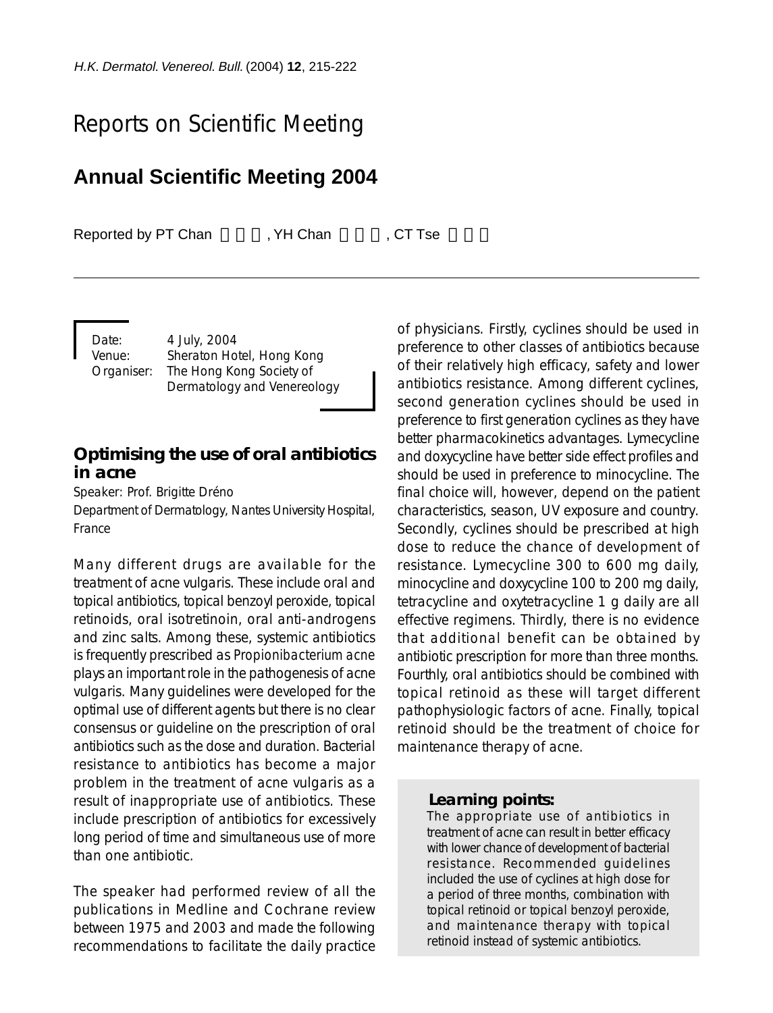# Reports on Scientific Meeting

## **Annual Scientific Meeting 2004**

Reported by PT Chan FCH Chan FCT Tse

Date: 4 July, 2004

Venue: Sheraton Hotel, Hong Kong Organiser: The Hong Kong Society of Dermatology and Venereology

### **Optimising the use of oral antibiotics in acne**

Speaker: Prof. Brigitte Dréno Department of Dermatology, Nantes University Hospital, France

Many different drugs are available for the treatment of acne vulgaris. These include oral and topical antibiotics, topical benzoyl peroxide, topical retinoids, oral isotretinoin, oral anti-androgens and zinc salts. Among these, systemic antibiotics is frequently prescribed as *Propionibacterium acne* plays an important role in the pathogenesis of acne vulgaris. Many guidelines were developed for the optimal use of different agents but there is no clear consensus or guideline on the prescription of oral antibiotics such as the dose and duration. Bacterial resistance to antibiotics has become a major problem in the treatment of acne vulgaris as a result of inappropriate use of antibiotics. These include prescription of antibiotics for excessively long period of time and simultaneous use of more than one antibiotic.

The speaker had performed review of all the publications in Medline and Cochrane review between 1975 and 2003 and made the following recommendations to facilitate the daily practice

of physicians. Firstly, cyclines should be used in preference to other classes of antibiotics because of their relatively high efficacy, safety and lower antibiotics resistance. Among different cyclines, second generation cyclines should be used in preference to first generation cyclines as they have better pharmacokinetics advantages. Lymecycline and doxycycline have better side effect profiles and should be used in preference to minocycline. The final choice will, however, depend on the patient characteristics, season, UV exposure and country. Secondly, cyclines should be prescribed at high dose to reduce the chance of development of resistance. Lymecycline 300 to 600 mg daily, minocycline and doxycycline 100 to 200 mg daily, tetracycline and oxytetracycline 1 g daily are all effective regimens. Thirdly, there is no evidence that additional benefit can be obtained by antibiotic prescription for more than three months. Fourthly, oral antibiotics should be combined with topical retinoid as these will target different pathophysiologic factors of acne. Finally, topical retinoid should be the treatment of choice for maintenance therapy of acne.

#### *Learning points:*

The appropriate use of antibiotics in treatment of acne can result in better efficacy with lower chance of development of bacterial resistance. Recommended guidelines included the use of cyclines at high dose for a period of three months, combination with topical retinoid or topical benzoyl peroxide, and maintenance therapy with topical retinoid instead of systemic antibiotics.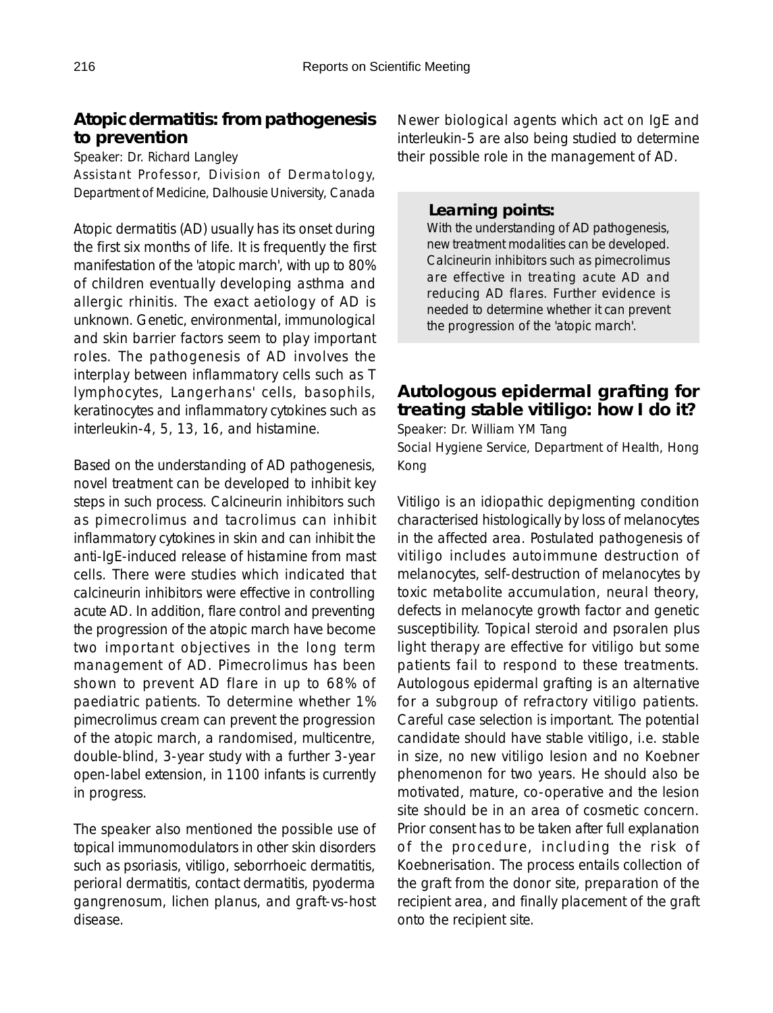## **Atopic dermatitis: from pathogenesis to prevention**

Speaker: Dr. Richard Langley

Assistant Professor, Division of Dermatology, Department of Medicine, Dalhousie University, Canada

Atopic dermatitis (AD) usually has its onset during the first six months of life. It is frequently the first manifestation of the 'atopic march', with up to 80% of children eventually developing asthma and allergic rhinitis. The exact aetiology of AD is unknown. Genetic, environmental, immunological and skin barrier factors seem to play important roles. The pathogenesis of AD involves the interplay between inflammatory cells such as T lymphocytes, Langerhans' cells, basophils, keratinocytes and inflammatory cytokines such as interleukin-4, 5, 13, 16, and histamine.

Based on the understanding of AD pathogenesis, novel treatment can be developed to inhibit key steps in such process. Calcineurin inhibitors such as pimecrolimus and tacrolimus can inhibit inflammatory cytokines in skin and can inhibit the anti-IgE-induced release of histamine from mast cells. There were studies which indicated that calcineurin inhibitors were effective in controlling acute AD. In addition, flare control and preventing the progression of the atopic march have become two important objectives in the long term management of AD. Pimecrolimus has been shown to prevent AD flare in up to 68% of paediatric patients. To determine whether 1% pimecrolimus cream can prevent the progression of the atopic march, a randomised, multicentre, double-blind, 3-year study with a further 3-year open-label extension, in 1100 infants is currently in progress.

The speaker also mentioned the possible use of topical immunomodulators in other skin disorders such as psoriasis, vitiligo, seborrhoeic dermatitis, perioral dermatitis, contact dermatitis, pyoderma gangrenosum, lichen planus, and graft-vs-host disease.

Newer biological agents which act on IgE and interleukin-5 are also being studied to determine their possible role in the management of AD.

### *Learning points:*

With the understanding of AD pathogenesis, new treatment modalities can be developed. Calcineurin inhibitors such as pimecrolimus are effective in treating acute AD and reducing AD flares. Further evidence is needed to determine whether it can prevent the progression of the 'atopic march'.

## **Autologous epidermal grafting for treating stable vitiligo: how I do it?**

Speaker: Dr. William YM Tang

Social Hygiene Service, Department of Health, Hong Kong

Vitiligo is an idiopathic depigmenting condition characterised histologically by loss of melanocytes in the affected area. Postulated pathogenesis of vitiligo includes autoimmune destruction of melanocytes, self-destruction of melanocytes by toxic metabolite accumulation, neural theory, defects in melanocyte growth factor and genetic susceptibility. Topical steroid and psoralen plus light therapy are effective for vitiligo but some patients fail to respond to these treatments. Autologous epidermal grafting is an alternative for a subgroup of refractory vitiligo patients. Careful case selection is important. The potential candidate should have stable vitiligo, i.e. stable in size, no new vitiligo lesion and no Koebner phenomenon for two years. He should also be motivated, mature, co-operative and the lesion site should be in an area of cosmetic concern. Prior consent has to be taken after full explanation of the procedure, including the risk of Koebnerisation. The process entails collection of the graft from the donor site, preparation of the recipient area, and finally placement of the graft onto the recipient site.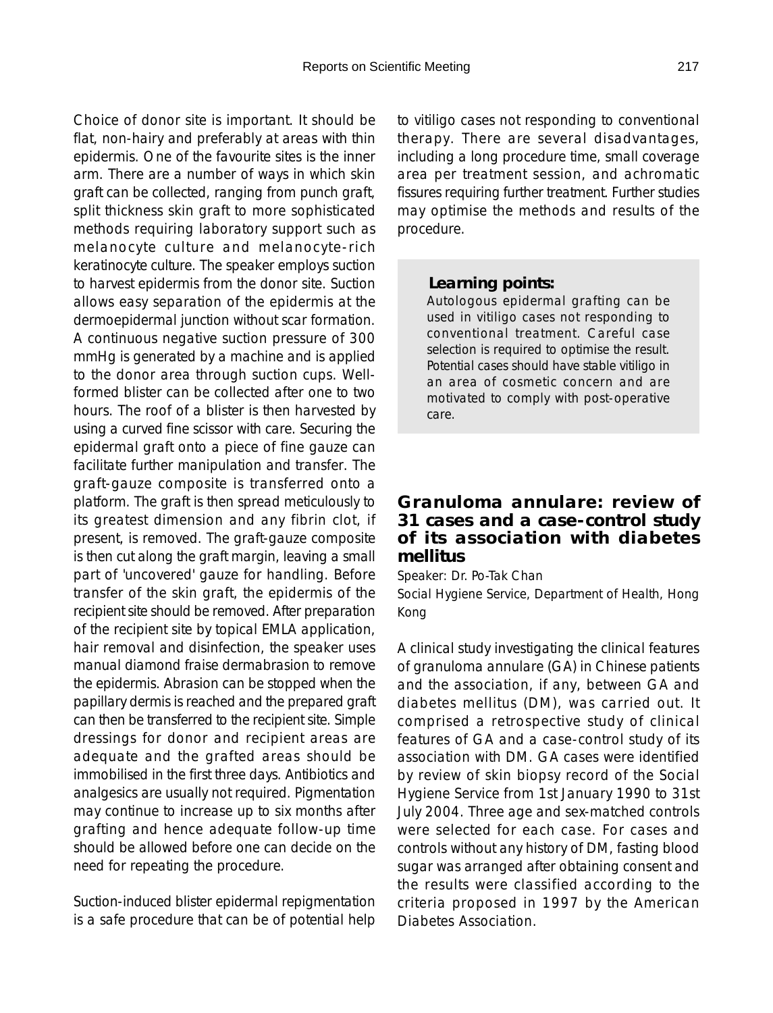Choice of donor site is important. It should be flat, non-hairy and preferably at areas with thin epidermis. One of the favourite sites is the inner arm. There are a number of ways in which skin graft can be collected, ranging from punch graft, split thickness skin graft to more sophisticated methods requiring laboratory support such as melanocyte culture and melanocyte-rich keratinocyte culture. The speaker employs suction to harvest epidermis from the donor site. Suction allows easy separation of the epidermis at the dermoepidermal junction without scar formation. A continuous negative suction pressure of 300 mmHg is generated by a machine and is applied to the donor area through suction cups. Wellformed blister can be collected after one to two hours. The roof of a blister is then harvested by using a curved fine scissor with care. Securing the epidermal graft onto a piece of fine gauze can facilitate further manipulation and transfer. The graft-gauze composite is transferred onto a platform. The graft is then spread meticulously to its greatest dimension and any fibrin clot, if present, is removed. The graft-gauze composite is then cut along the graft margin, leaving a small part of 'uncovered' gauze for handling. Before transfer of the skin graft, the epidermis of the recipient site should be removed. After preparation of the recipient site by topical EMLA application, hair removal and disinfection, the speaker uses manual diamond fraise dermabrasion to remove the epidermis. Abrasion can be stopped when the papillary dermis is reached and the prepared graft can then be transferred to the recipient site. Simple dressings for donor and recipient areas are adequate and the grafted areas should be immobilised in the first three days. Antibiotics and analgesics are usually not required. Pigmentation may continue to increase up to six months after grafting and hence adequate follow-up time should be allowed before one can decide on the need for repeating the procedure.

Suction-induced blister epidermal repigmentation is a safe procedure that can be of potential help to vitiligo cases not responding to conventional therapy. There are several disadvantages, including a long procedure time, small coverage area per treatment session, and achromatic fissures requiring further treatment. Further studies may optimise the methods and results of the procedure.

#### *Learning points:*

Autologous epidermal grafting can be used in vitiligo cases not responding to conventional treatment. Careful case selection is required to optimise the result. Potential cases should have stable vitiligo in an area of cosmetic concern and are motivated to comply with post-operative care.

### **Granuloma annulare: review of 31 cases and a case-control study of its association with diabetes mellitus**

Speaker: Dr. Po-Tak Chan

Social Hygiene Service, Department of Health, Hong Kong

A clinical study investigating the clinical features of granuloma annulare (GA) in Chinese patients and the association, if any, between GA and diabetes mellitus (DM), was carried out. It comprised a retrospective study of clinical features of GA and a case-control study of its association with DM. GA cases were identified by review of skin biopsy record of the Social Hygiene Service from 1st January 1990 to 31st July 2004. Three age and sex-matched controls were selected for each case. For cases and controls without any history of DM, fasting blood sugar was arranged after obtaining consent and the results were classified according to the criteria proposed in 1997 by the American Diabetes Association.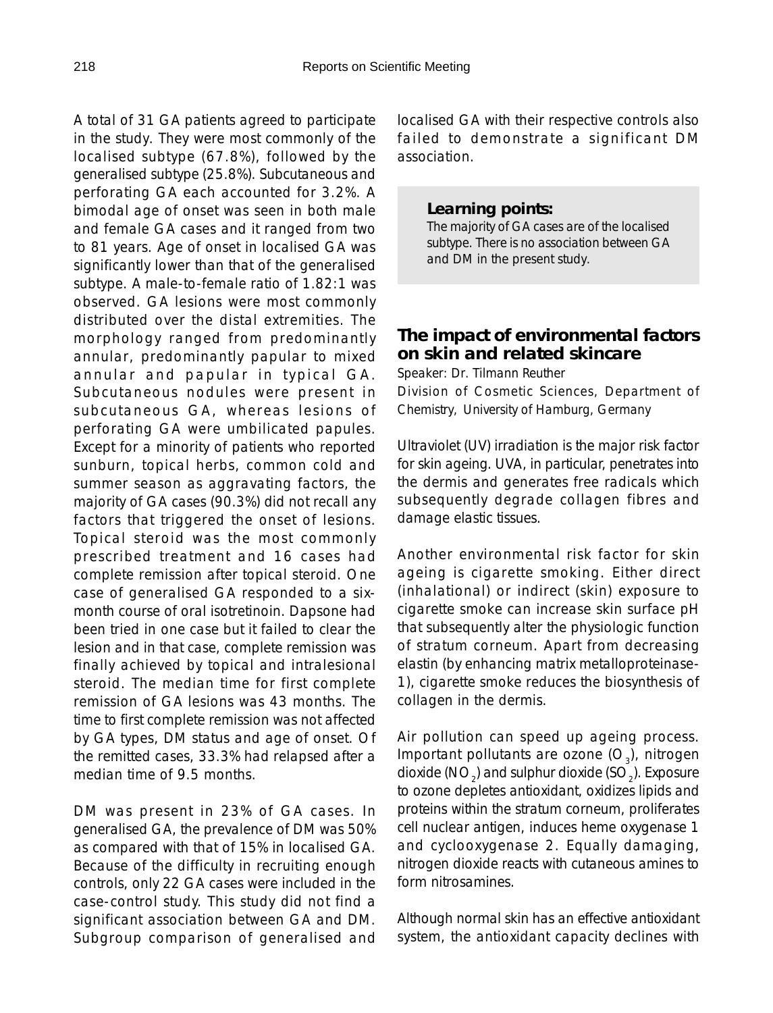A total of 31 GA patients agreed to participate in the study. They were most commonly of the localised subtype (67.8%), followed by the generalised subtype (25.8%). Subcutaneous and perforating GA each accounted for 3.2%. A bimodal age of onset was seen in both male and female GA cases and it ranged from two to 81 years. Age of onset in localised GA was significantly lower than that of the generalised subtype. A male-to-female ratio of 1.82:1 was observed. GA lesions were most commonly distributed over the distal extremities. The morphology ranged from predominantly annular, predominantly papular to mixed annular and papular in typical GA. Subcutaneous nodules were present in subcutaneous GA, whereas lesions of perforating GA were umbilicated papules. Except for a minority of patients who reported sunburn, topical herbs, common cold and summer season as aggravating factors, the majority of GA cases (90.3%) did not recall any factors that triggered the onset of lesions. Topical steroid was the most commonly prescribed treatment and 16 cases had complete remission after topical steroid. One case of generalised GA responded to a sixmonth course of oral isotretinoin. Dapsone had been tried in one case but it failed to clear the lesion and in that case, complete remission was finally achieved by topical and intralesional steroid. The median time for first complete remission of GA lesions was 43 months. The time to first complete remission was not affected by GA types, DM status and age of onset. Of the remitted cases, 33.3% had relapsed after a median time of 9.5 months.

DM was present in 23% of GA cases. In generalised GA, the prevalence of DM was 50% as compared with that of 15% in localised GA. Because of the difficulty in recruiting enough controls, only 22 GA cases were included in the case-control study. This study did not find a significant association between GA and DM. Subgroup comparison of generalised and localised GA with their respective controls also failed to demonstrate a significant DM association.

#### *Learning points:*

The majority of GA cases are of the localised subtype. There is no association between GA and DM in the present study.

#### **The impact of environmental factors on skin and related skincare**

Speaker: Dr. Tilmann Reuther Division of Cosmetic Sciences, Department of Chemistry, University of Hamburg, Germany

Ultraviolet (UV) irradiation is the major risk factor for skin ageing. UVA, in particular, penetrates into the dermis and generates free radicals which subsequently degrade collagen fibres and damage elastic tissues.

Another environmental risk factor for skin ageing is cigarette smoking. Either direct (inhalational) or indirect (skin) exposure to cigarette smoke can increase skin surface pH that subsequently alter the physiologic function of stratum corneum. Apart from decreasing elastin (by enhancing matrix metalloproteinase-1), cigarette smoke reduces the biosynthesis of collagen in the dermis.

Air pollution can speed up ageing process. Important pollutants are ozone  $(O_2)$ , nitrogen dioxide (NO $_2^{}$ ) and sulphur dioxide (SO $_2^{}$ ). Exposure to ozone depletes antioxidant, oxidizes lipids and proteins within the stratum corneum, proliferates cell nuclear antigen, induces heme oxygenase 1 and cyclooxygenase 2. Equally damaging, nitrogen dioxide reacts with cutaneous amines to form nitrosamines.

Although normal skin has an effective antioxidant system, the antioxidant capacity declines with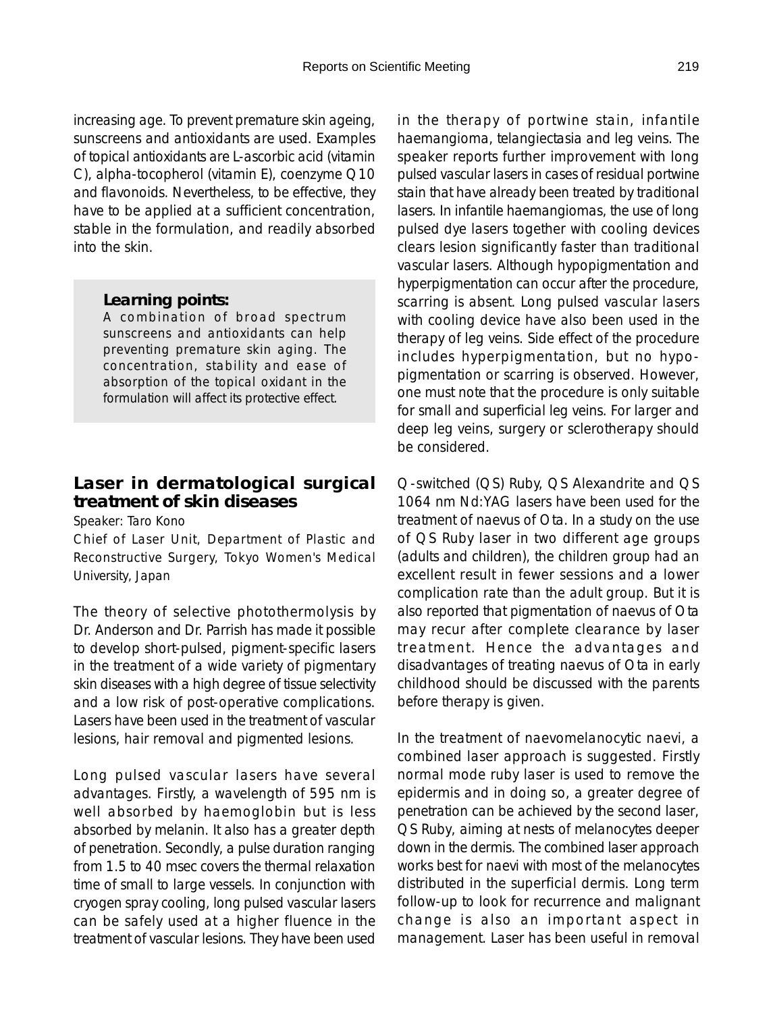increasing age. To prevent premature skin ageing, sunscreens and antioxidants are used. Examples of topical antioxidants are L-ascorbic acid (vitamin C), alpha-tocopherol (vitamin E), coenzyme Q10 and flavonoids. Nevertheless, to be effective, they have to be applied at a sufficient concentration, stable in the formulation, and readily absorbed into the skin.

#### *Learning points:*

A combination of broad spectrum sunscreens and antioxidants can help preventing premature skin aging. The concentration, stability and ease of absorption of the topical oxidant in the formulation will affect its protective effect.

## **Laser in dermatological surgical treatment of skin diseases**

Speaker: Taro Kono

Chief of Laser Unit, Department of Plastic and Reconstructive Surgery, Tokyo Women's Medical University, Japan

The theory of selective photothermolysis by Dr. Anderson and Dr. Parrish has made it possible to develop short-pulsed, pigment-specific lasers in the treatment of a wide variety of pigmentary skin diseases with a high degree of tissue selectivity and a low risk of post-operative complications. Lasers have been used in the treatment of vascular lesions, hair removal and pigmented lesions.

Long pulsed vascular lasers have several advantages. Firstly, a wavelength of 595 nm is well absorbed by haemoglobin but is less absorbed by melanin. It also has a greater depth of penetration. Secondly, a pulse duration ranging from 1.5 to 40 msec covers the thermal relaxation time of small to large vessels. In conjunction with cryogen spray cooling, long pulsed vascular lasers can be safely used at a higher fluence in the treatment of vascular lesions. They have been used

in the therapy of portwine stain, infantile haemangioma, telangiectasia and leg veins. The speaker reports further improvement with long pulsed vascular lasers in cases of residual portwine stain that have already been treated by traditional lasers. In infantile haemangiomas, the use of long pulsed dye lasers together with cooling devices clears lesion significantly faster than traditional vascular lasers. Although hypopigmentation and hyperpigmentation can occur after the procedure, scarring is absent. Long pulsed vascular lasers with cooling device have also been used in the therapy of leg veins. Side effect of the procedure includes hyperpigmentation, but no hypopigmentation or scarring is observed. However, one must note that the procedure is only suitable for small and superficial leg veins. For larger and deep leg veins, surgery or sclerotherapy should be considered.

Q-switched (QS) Ruby, QS Alexandrite and QS 1064 nm Nd:YAG lasers have been used for the treatment of naevus of Ota. In a study on the use of QS Ruby laser in two different age groups (adults and children), the children group had an excellent result in fewer sessions and a lower complication rate than the adult group. But it is also reported that pigmentation of naevus of Ota may recur after complete clearance by laser treatment. Hence the advantages and disadvantages of treating naevus of Ota in early childhood should be discussed with the parents before therapy is given.

In the treatment of naevomelanocytic naevi, a combined laser approach is suggested. Firstly normal mode ruby laser is used to remove the epidermis and in doing so, a greater degree of penetration can be achieved by the second laser, QS Ruby, aiming at nests of melanocytes deeper down in the dermis. The combined laser approach works best for naevi with most of the melanocytes distributed in the superficial dermis. Long term follow-up to look for recurrence and malignant change is also an important aspect in management. Laser has been useful in removal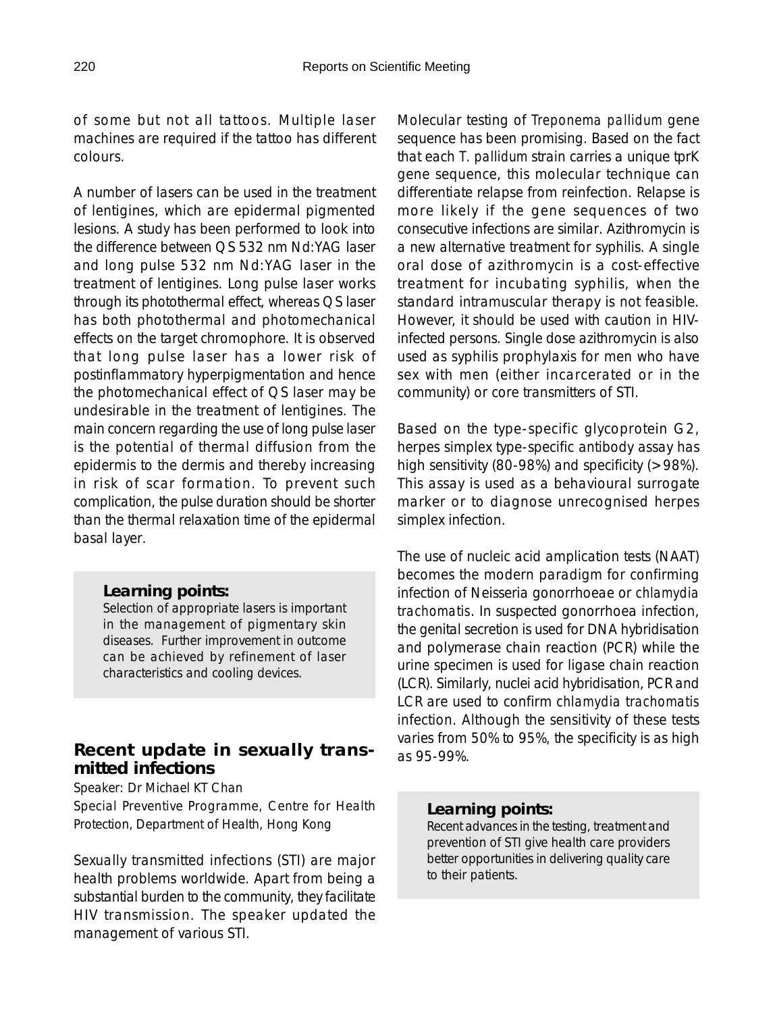of some but not all tattoos. Multiple laser machines are required if the tattoo has different colours.

A number of lasers can be used in the treatment of lentigines, which are epidermal pigmented lesions. A study has been performed to look into the difference between QS 532 nm Nd:YAG laser and long pulse 532 nm Nd:YAG laser in the treatment of lentigines. Long pulse laser works through its photothermal effect, whereas QS laser has both photothermal and photomechanical effects on the target chromophore. It is observed that long pulse laser has a lower risk of postinflammatory hyperpigmentation and hence the photomechanical effect of QS laser may be undesirable in the treatment of lentigines. The main concern regarding the use of long pulse laser is the potential of thermal diffusion from the epidermis to the dermis and thereby increasing in risk of scar formation. To prevent such complication, the pulse duration should be shorter than the thermal relaxation time of the epidermal basal layer.

#### *Learning points:*

Selection of appropriate lasers is important in the management of pigmentary skin diseases. Further improvement in outcome can be achieved by refinement of laser characteristics and cooling devices.

## **Recent update in sexually transmitted infections**

Speaker: Dr Michael KT Chan

Special Preventive Programme, Centre for Health Protection, Department of Health, Hong Kong

Sexually transmitted infections (STI) are major health problems worldwide. Apart from being a substantial burden to the community, they facilitate HIV transmission. The speaker updated the management of various STI.

Molecular testing of *Treponema pallidum* gene sequence has been promising. Based on the fact that each *T. pallidum* strain carries a unique tprK gene sequence, this molecular technique can differentiate relapse from reinfection. Relapse is more likely if the gene sequences of two consecutive infections are similar. Azithromycin is a new alternative treatment for syphilis. A single oral dose of azithromycin is a cost-effective treatment for incubating syphilis, when the standard intramuscular therapy is not feasible. However, it should be used with caution in HIVinfected persons. Single dose azithromycin is also used as syphilis prophylaxis for men who have sex with men (either incarcerated or in the community) or core transmitters of STI.

Based on the type-specific glycoprotein G2, herpes simplex type-specific antibody assay has high sensitivity (80-98%) and specificity (>98%). This assay is used as a behavioural surrogate marker or to diagnose unrecognised herpes simplex infection.

The use of nucleic acid amplication tests (NAAT) becomes the modern paradigm for confirming infection of Neisseria gonorrhoeae or *chlamydia trachomatis*. In suspected gonorrhoea infection, the genital secretion is used for DNA hybridisation and polymerase chain reaction (PCR) while the urine specimen is used for ligase chain reaction (LCR). Similarly, nuclei acid hybridisation, PCR and LCR are used to confirm *chlamydia trachomatis* infection. Although the sensitivity of these tests varies from 50% to 95%, the specificity is as high as 95-99%.

### *Learning points:*

Recent advances in the testing, treatment and prevention of STI give health care providers better opportunities in delivering quality care to their patients.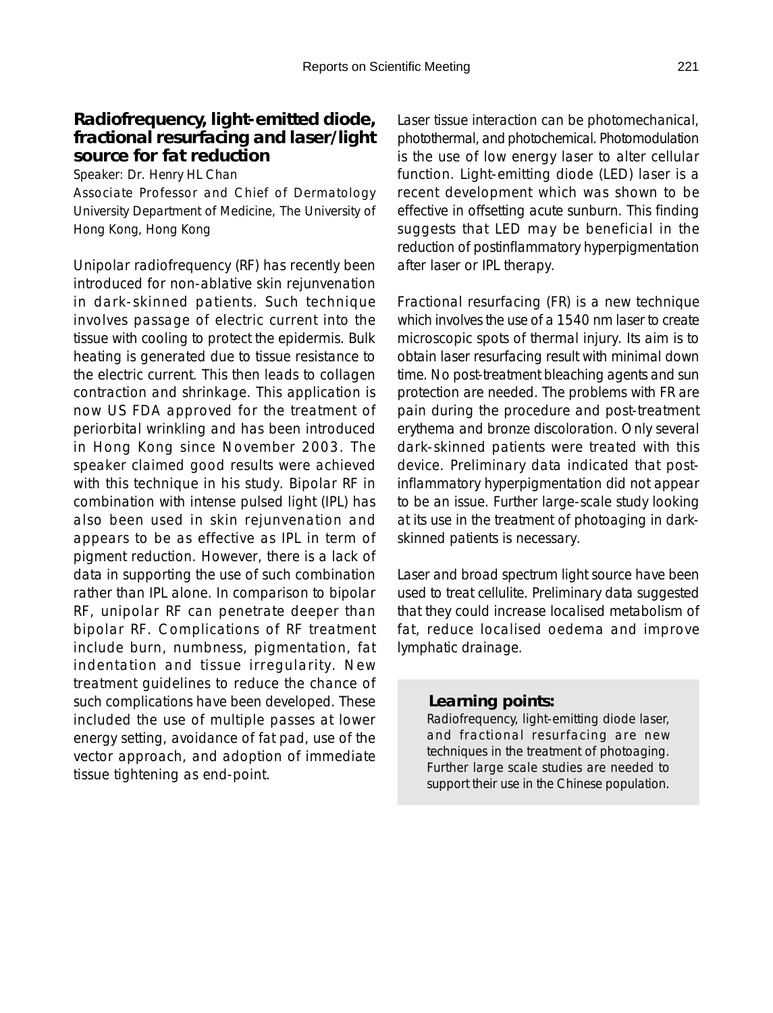### **Radiofrequency, light-emitted diode, fractional resurfacing and laser/light source for fat reduction**

Speaker: Dr. Henry HL Chan

Associate Professor and Chief of Dermatology University Department of Medicine, The University of Hong Kong, Hong Kong

Unipolar radiofrequency (RF) has recently been introduced for non-ablative skin rejunvenation in dark-skinned patients. Such technique involves passage of electric current into the tissue with cooling to protect the epidermis. Bulk heating is generated due to tissue resistance to the electric current. This then leads to collagen contraction and shrinkage. This application is now US FDA approved for the treatment of periorbital wrinkling and has been introduced in Hong Kong since November 2003. The speaker claimed good results were achieved with this technique in his study. Bipolar RF in combination with intense pulsed light (IPL) has also been used in skin rejunvenation and appears to be as effective as IPL in term of pigment reduction. However, there is a lack of data in supporting the use of such combination rather than IPL alone. In comparison to bipolar RF, unipolar RF can penetrate deeper than bipolar RF. Complications of RF treatment include burn, numbness, pigmentation, fat indentation and tissue irregularity. New treatment guidelines to reduce the chance of such complications have been developed. These included the use of multiple passes at lower energy setting, avoidance of fat pad, use of the vector approach, and adoption of immediate tissue tightening as end-point.

Laser tissue interaction can be photomechanical, photothermal, and photochemical. Photomodulation is the use of low energy laser to alter cellular function. Light-emitting diode (LED) laser is a recent development which was shown to be effective in offsetting acute sunburn. This finding suggests that LED may be beneficial in the reduction of postinflammatory hyperpigmentation after laser or IPL therapy.

Fractional resurfacing (FR) is a new technique which involves the use of a 1540 nm laser to create microscopic spots of thermal injury. Its aim is to obtain laser resurfacing result with minimal down time. No post-treatment bleaching agents and sun protection are needed. The problems with FR are pain during the procedure and post-treatment erythema and bronze discoloration. Only several dark-skinned patients were treated with this device. Preliminary data indicated that postinflammatory hyperpigmentation did not appear to be an issue. Further large-scale study looking at its use in the treatment of photoaging in darkskinned patients is necessary.

Laser and broad spectrum light source have been used to treat cellulite. Preliminary data suggested that they could increase localised metabolism of fat, reduce localised oedema and improve lymphatic drainage.

#### *Learning points:*

Radiofrequency, light-emitting diode laser, and fractional resurfacing are new techniques in the treatment of photoaging. Further large scale studies are needed to support their use in the Chinese population.